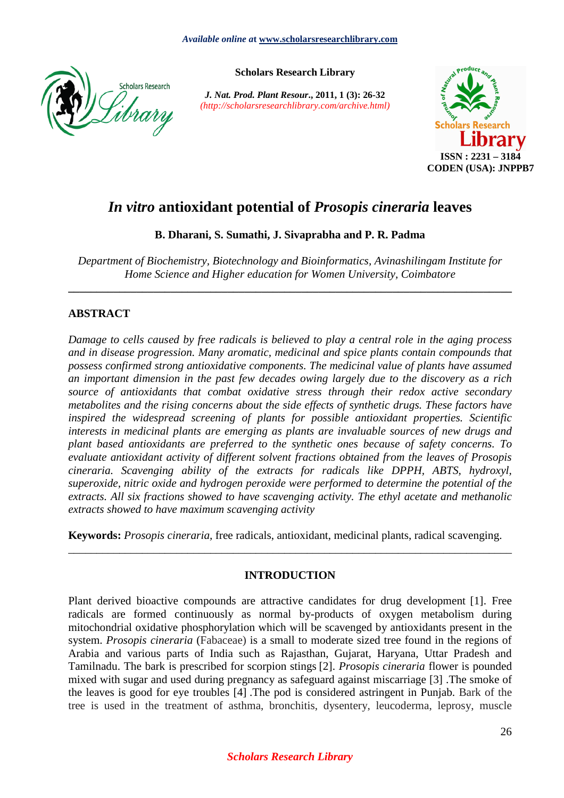

**Scholars Research Library** 

*J. Nat. Prod. Plant Resour***., 2011, 1 (3): 26-32**  *(http://scholarsresearchlibrary.com/archive.html)* 



# *In vitro* **antioxidant potential of** *Prosopis cineraria* **leaves**

**B. Dharani, S. Sumathi, J. Sivaprabha and P. R. Padma** 

*Department of Biochemistry, Biotechnology and Bioinformatics, Avinashilingam Institute for Home Science and Higher education for Women University, Coimbatore* 

**\_\_\_\_\_\_\_\_\_\_\_\_\_\_\_\_\_\_\_\_\_\_\_\_\_\_\_\_\_\_\_\_\_\_\_\_\_\_\_\_\_\_\_\_\_\_\_\_\_\_\_\_\_\_\_\_\_\_\_\_\_\_\_\_\_\_\_\_\_\_\_\_\_\_\_\_\_\_** 

# **ABSTRACT**

*Damage to cells caused by free radicals is believed to play a central role in the aging process and in disease progression. Many aromatic, medicinal and spice plants contain compounds that possess confirmed strong antioxidative components. The medicinal value of plants have assumed an important dimension in the past few decades owing largely due to the discovery as a rich source of antioxidants that combat oxidative stress through their redox active secondary metabolites and the rising concerns about the side effects of synthetic drugs. These factors have inspired the widespread screening of plants for possible antioxidant properties. Scientific interests in medicinal plants are emerging as plants are invaluable sources of new drugs and plant based antioxidants are preferred to the synthetic ones because of safety concerns. To evaluate antioxidant activity of different solvent fractions obtained from the leaves of Prosopis cineraria. Scavenging ability of the extracts for radicals like DPPH, ABTS, hydroxyl, superoxide, nitric oxide and hydrogen peroxide were performed to determine the potential of the extracts. All six fractions showed to have scavenging activity. The ethyl acetate and methanolic extracts showed to have maximum scavenging activity*

**Keywords:** *Prosopis cineraria,* free radicals, antioxidant, medicinal plants, radical scavenging.

## **INTRODUCTION**

\_\_\_\_\_\_\_\_\_\_\_\_\_\_\_\_\_\_\_\_\_\_\_\_\_\_\_\_\_\_\_\_\_\_\_\_\_\_\_\_\_\_\_\_\_\_\_\_\_\_\_\_\_\_\_\_\_\_\_\_\_\_\_\_\_\_\_\_\_\_\_\_\_\_\_\_\_\_

Plant derived bioactive compounds are attractive candidates for drug development [1]. Free radicals are formed continuously as normal by-products of oxygen metabolism during mitochondrial oxidative phosphorylation which will be scavenged by antioxidants present in the system. *Prosopis cineraria* (Fabaceae) is a small to moderate sized tree found in the regions of Arabia and various parts of India such as Rajasthan, Gujarat, Haryana, Uttar Pradesh and Tamilnadu. The bark is prescribed for scorpion stings [2]. *Prosopis cineraria* flower is pounded mixed with sugar and used during pregnancy as safeguard against miscarriage [3] .The smoke of the leaves is good for eye troubles [4] .The pod is considered astringent in Punjab. Bark of the tree is used in the treatment of asthma, bronchitis, dysentery, leucoderma, leprosy, muscle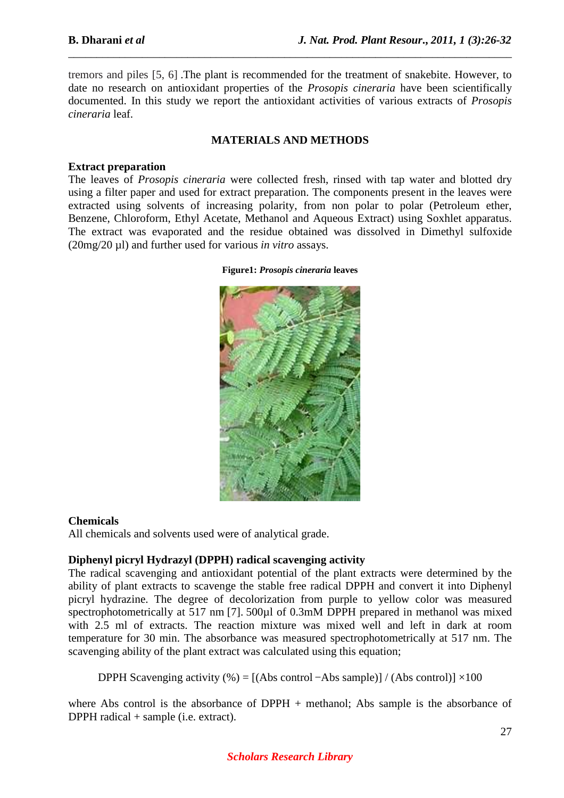tremors and piles [5, 6] .The plant is recommended for the treatment of snakebite. However, to date no research on antioxidant properties of the *Prosopis cineraria* have been scientifically documented. In this study we report the antioxidant activities of various extracts of *Prosopis cineraria* leaf.

*\_\_\_\_\_\_\_\_\_\_\_\_\_\_\_\_\_\_\_\_\_\_\_\_\_\_\_\_\_\_\_\_\_\_\_\_\_\_\_\_\_\_\_\_\_\_\_\_\_\_\_\_\_\_\_\_\_\_\_\_\_\_\_\_\_\_\_\_\_\_\_\_\_\_\_\_\_\_*

#### **MATERIALS AND METHODS**

#### **Extract preparation**

The leaves of *Prosopis cineraria* were collected fresh, rinsed with tap water and blotted dry using a filter paper and used for extract preparation. The components present in the leaves were extracted using solvents of increasing polarity, from non polar to polar (Petroleum ether, Benzene, Chloroform, Ethyl Acetate, Methanol and Aqueous Extract) using Soxhlet apparatus. The extract was evaporated and the residue obtained was dissolved in Dimethyl sulfoxide (20mg/20 µl) and further used for various *in vitro* assays.

**Figure1:** *Prosopis cineraria* **leaves** 



#### **Chemicals**

All chemicals and solvents used were of analytical grade.

#### **Diphenyl picryl Hydrazyl (DPPH) radical scavenging activity**

The radical scavenging and antioxidant potential of the plant extracts were determined by the ability of plant extracts to scavenge the stable free radical DPPH and convert it into Diphenyl picryl hydrazine. The degree of decolorization from purple to yellow color was measured spectrophotometrically at 517 nm [7]. 500 $\mu$ l of 0.3mM DPPH prepared in methanol was mixed with 2.5 ml of extracts. The reaction mixture was mixed well and left in dark at room temperature for 30 min. The absorbance was measured spectrophotometrically at 517 nm. The scavenging ability of the plant extract was calculated using this equation;

DPPH Scavenging activity (%) =  $[(Abs\ control - Abs\ sample)] / (Abs\ control)] \times 100$ 

where Abs control is the absorbance of DPPH + methanol; Abs sample is the absorbance of DPPH radical + sample (i.e. extract).

## *Scholars Research Library*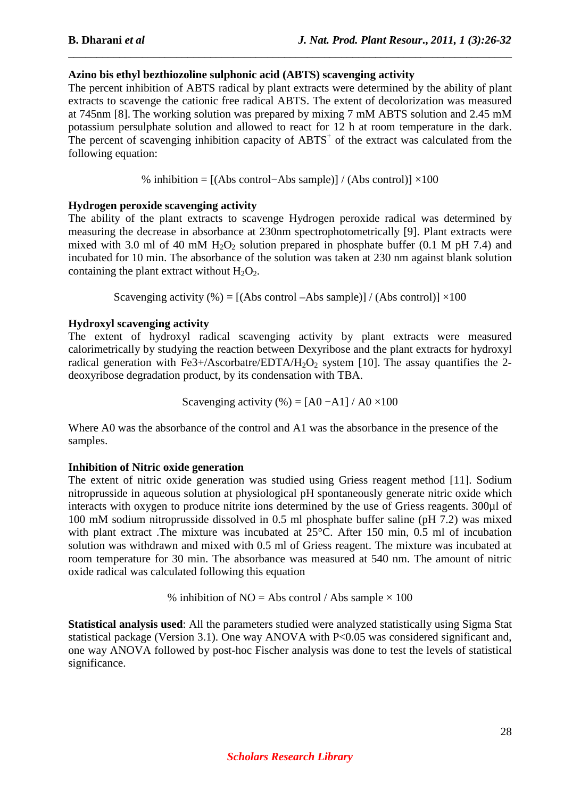## **Azino bis ethyl bezthiozoline sulphonic acid (ABTS) scavenging activity**

The percent inhibition of ABTS radical by plant extracts were determined by the ability of plant extracts to scavenge the cationic free radical ABTS. The extent of decolorization was measured at 745nm [8]. The working solution was prepared by mixing 7 mM ABTS solution and 2.45 mM potassium persulphate solution and allowed to react for 12 h at room temperature in the dark. The percent of scavenging inhibition capacity of  $ABTS<sup>+</sup>$  of the extract was calculated from the following equation:

*\_\_\_\_\_\_\_\_\_\_\_\_\_\_\_\_\_\_\_\_\_\_\_\_\_\_\_\_\_\_\_\_\_\_\_\_\_\_\_\_\_\_\_\_\_\_\_\_\_\_\_\_\_\_\_\_\_\_\_\_\_\_\_\_\_\_\_\_\_\_\_\_\_\_\_\_\_\_*

% inhibition = [(Abs control−Abs sample)] / (Abs control)] ×100

## **Hydrogen peroxide scavenging activity**

The ability of the plant extracts to scavenge Hydrogen peroxide radical was determined by measuring the decrease in absorbance at 230nm spectrophotometrically [9]. Plant extracts were mixed with 3.0 ml of 40 mM  $H_2O_2$  solution prepared in phosphate buffer (0.1 M pH 7.4) and incubated for 10 min. The absorbance of the solution was taken at 230 nm against blank solution containing the plant extract without  $H_2O_2$ .

Scavenging activity  $\left(\% \right) = \left[ \left( \text{Abs control} - \text{Abs sample} \right) \right] / \left( \text{Abs control} \right) \times 100$ 

# **Hydroxyl scavenging activity**

The extent of hydroxyl radical scavenging activity by plant extracts were measured calorimetrically by studying the reaction between Dexyribose and the plant extracts for hydroxyl radical generation with Fe3+/Ascorbatre/EDTA/H<sub>2</sub>O<sub>2</sub> system [10]. The assay quantifies the 2deoxyribose degradation product, by its condensation with TBA.

Scavenging activity  $(\% ) = [A0 - A1] / A0 \times 100$ 

Where A0 was the absorbance of the control and A1 was the absorbance in the presence of the samples.

## **Inhibition of Nitric oxide generation**

The extent of nitric oxide generation was studied using Griess reagent method [11]. Sodium nitroprusside in aqueous solution at physiological pH spontaneously generate nitric oxide which interacts with oxygen to produce nitrite ions determined by the use of Griess reagents. 300µl of 100 mM sodium nitroprusside dissolved in 0.5 ml phosphate buffer saline (pH 7.2) was mixed with plant extract .The mixture was incubated at 25°C. After 150 min, 0.5 ml of incubation solution was withdrawn and mixed with 0.5 ml of Griess reagent. The mixture was incubated at room temperature for 30 min. The absorbance was measured at 540 nm. The amount of nitric oxide radical was calculated following this equation

% inhibition of  $NO = Abs$  control / Abs sample  $\times 100$ 

**Statistical analysis used**: All the parameters studied were analyzed statistically using Sigma Stat statistical package (Version 3.1). One way ANOVA with P<0.05 was considered significant and, one way ANOVA followed by post-hoc Fischer analysis was done to test the levels of statistical significance.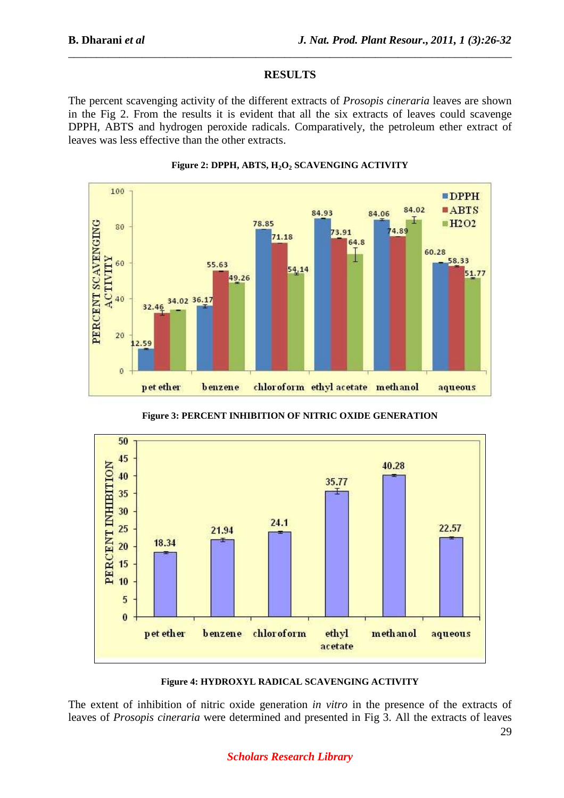#### **RESULTS**

*\_\_\_\_\_\_\_\_\_\_\_\_\_\_\_\_\_\_\_\_\_\_\_\_\_\_\_\_\_\_\_\_\_\_\_\_\_\_\_\_\_\_\_\_\_\_\_\_\_\_\_\_\_\_\_\_\_\_\_\_\_\_\_\_\_\_\_\_\_\_\_\_\_\_\_\_\_\_*

The percent scavenging activity of the different extracts of *Prosopis cineraria* leaves are shown in the Fig 2. From the results it is evident that all the six extracts of leaves could scavenge DPPH, ABTS and hydrogen peroxide radicals. Comparatively, the petroleum ether extract of leaves was less effective than the other extracts.





**Figure 3: PERCENT INHIBITION OF NITRIC OXIDE GENERATION** 



**Figure 4: HYDROXYL RADICAL SCAVENGING ACTIVITY** 

The extent of inhibition of nitric oxide generation *in vitro* in the presence of the extracts of leaves of *Prosopis cineraria* were determined and presented in Fig 3. All the extracts of leaves

## *Scholars Research Library*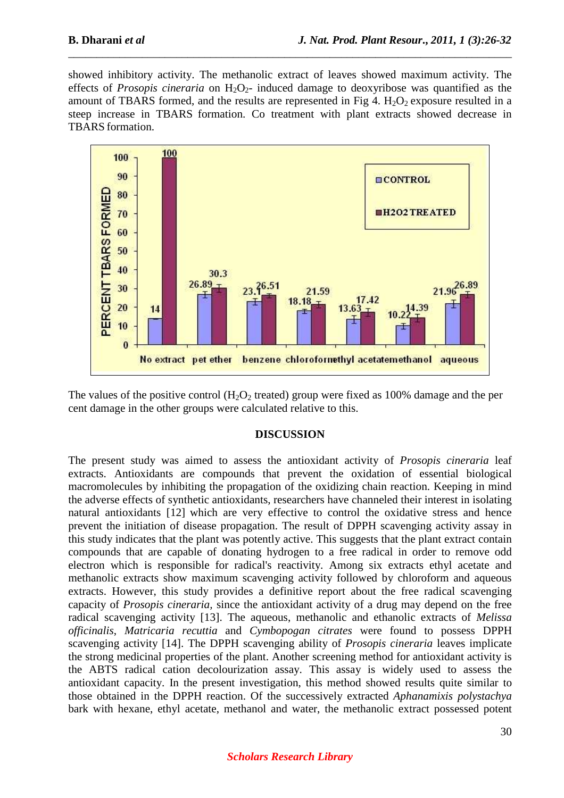showed inhibitory activity. The methanolic extract of leaves showed maximum activity. The effects of *Prosopis cineraria* on  $H_2O_2$ - induced damage to deoxyribose was quantified as the amount of TBARS formed, and the results are represented in Fig 4.  $H_2O_2$  exposure resulted in a steep increase in TBARS formation. Co treatment with plant extracts showed decrease in TBARS formation.

*\_\_\_\_\_\_\_\_\_\_\_\_\_\_\_\_\_\_\_\_\_\_\_\_\_\_\_\_\_\_\_\_\_\_\_\_\_\_\_\_\_\_\_\_\_\_\_\_\_\_\_\_\_\_\_\_\_\_\_\_\_\_\_\_\_\_\_\_\_\_\_\_\_\_\_\_\_\_*



The values of the positive control  $(H_2O_2)$  treated) group were fixed as 100% damage and the per cent damage in the other groups were calculated relative to this.

#### **DISCUSSION**

The present study was aimed to assess the antioxidant activity of *Prosopis cineraria* leaf extracts. Antioxidants are compounds that prevent the oxidation of essential biological macromolecules by inhibiting the propagation of the oxidizing chain reaction. Keeping in mind the adverse effects of synthetic antioxidants, researchers have channeled their interest in isolating natural antioxidants [12] which are very effective to control the oxidative stress and hence prevent the initiation of disease propagation. The result of DPPH scavenging activity assay in this study indicates that the plant was potently active. This suggests that the plant extract contain compounds that are capable of donating hydrogen to a free radical in order to remove odd electron which is responsible for radical's reactivity. Among six extracts ethyl acetate and methanolic extracts show maximum scavenging activity followed by chloroform and aqueous extracts. However, this study provides a definitive report about the free radical scavenging capacity of *Prosopis cineraria,* since the antioxidant activity of a drug may depend on the free radical scavenging activity [13]. The aqueous, methanolic and ethanolic extracts of *Melissa officinalis*, *Matricaria recuttia* and *Cymbopogan citrates* were found to possess DPPH scavenging activity [14]. The DPPH scavenging ability of *Prosopis cineraria* leaves implicate the strong medicinal properties of the plant. Another screening method for antioxidant activity is the ABTS radical cation decolourization assay. This assay is widely used to assess the antioxidant capacity. In the present investigation, this method showed results quite similar to those obtained in the DPPH reaction. Of the successively extracted *Aphanamixis polystachya*  bark with hexane, ethyl acetate, methanol and water, the methanolic extract possessed potent

#### *Scholars Research Library*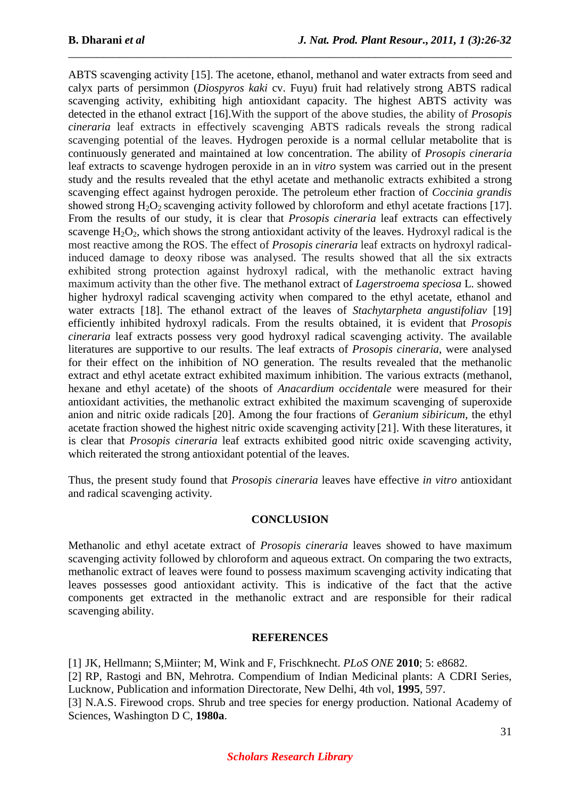ABTS scavenging activity [15]. The acetone, ethanol, methanol and water extracts from seed and calyx parts of persimmon (*Diospyros kaki* cv. Fuyu) fruit had relatively strong ABTS radical scavenging activity, exhibiting high antioxidant capacity. The highest ABTS activity was detected in the ethanol extract [16].With the support of the above studies, the ability of *Prosopis cineraria* leaf extracts in effectively scavenging ABTS radicals reveals the strong radical scavenging potential of the leaves. Hydrogen peroxide is a normal cellular metabolite that is continuously generated and maintained at low concentration. The ability of *Prosopis cineraria* leaf extracts to scavenge hydrogen peroxide in an in *vitro* system was carried out in the present study and the results revealed that the ethyl acetate and methanolic extracts exhibited a strong scavenging effect against hydrogen peroxide. The petroleum ether fraction of *Coccinia grandis*  showed strong  $H_2O_2$  scavenging activity followed by chloroform and ethyl acetate fractions [17]. From the results of our study, it is clear that *Prosopis cineraria* leaf extracts can effectively scavenge  $H_2O_2$ , which shows the strong antioxidant activity of the leaves. Hydroxyl radical is the most reactive among the ROS. The effect of *Prosopis cineraria* leaf extracts on hydroxyl radicalinduced damage to deoxy ribose was analysed. The results showed that all the six extracts exhibited strong protection against hydroxyl radical, with the methanolic extract having maximum activity than the other five. The methanol extract of *Lagerstroema speciosa* L. showed higher hydroxyl radical scavenging activity when compared to the ethyl acetate, ethanol and water extracts [18]. The ethanol extract of the leaves of *Stachytarpheta angustifoliav* [19] efficiently inhibited hydroxyl radicals. From the results obtained, it is evident that *Prosopis cineraria* leaf extracts possess very good hydroxyl radical scavenging activity. The available literatures are supportive to our results. The leaf extracts of *Prosopis cineraria*, were analysed for their effect on the inhibition of NO generation. The results revealed that the methanolic extract and ethyl acetate extract exhibited maximum inhibition. The various extracts (methanol, hexane and ethyl acetate) of the shoots of *Anacardium occidentale* were measured for their antioxidant activities, the methanolic extract exhibited the maximum scavenging of superoxide anion and nitric oxide radicals [20]. Among the four fractions of *Geranium sibiricum*, the ethyl acetate fraction showed the highest nitric oxide scavenging activity [21]. With these literatures, it is clear that *Prosopis cineraria* leaf extracts exhibited good nitric oxide scavenging activity, which reiterated the strong antioxidant potential of the leaves.

*\_\_\_\_\_\_\_\_\_\_\_\_\_\_\_\_\_\_\_\_\_\_\_\_\_\_\_\_\_\_\_\_\_\_\_\_\_\_\_\_\_\_\_\_\_\_\_\_\_\_\_\_\_\_\_\_\_\_\_\_\_\_\_\_\_\_\_\_\_\_\_\_\_\_\_\_\_\_*

Thus, the present study found that *Prosopis cineraria* leaves have effective *in vitro* antioxidant and radical scavenging activity.

## **CONCLUSION**

Methanolic and ethyl acetate extract of *Prosopis cineraria* leaves showed to have maximum scavenging activity followed by chloroform and aqueous extract. On comparing the two extracts, methanolic extract of leaves were found to possess maximum scavenging activity indicating that leaves possesses good antioxidant activity. This is indicative of the fact that the active components get extracted in the methanolic extract and are responsible for their radical scavenging ability.

#### **REFERENCES**

[1] JK, Hellmann; S,Miinter; M, Wink and F, Frischknecht. *PLoS ONE* **2010**; 5: e8682. [2] RP, Rastogi and BN, Mehrotra. Compendium of Indian Medicinal plants: A CDRI Series, Lucknow, Publication and information Directorate, New Delhi, 4th vol, **1995**, 597. [3] N.A.S. Firewood crops. Shrub and tree species for energy production. National Academy of Sciences, Washington D C, **1980a**.